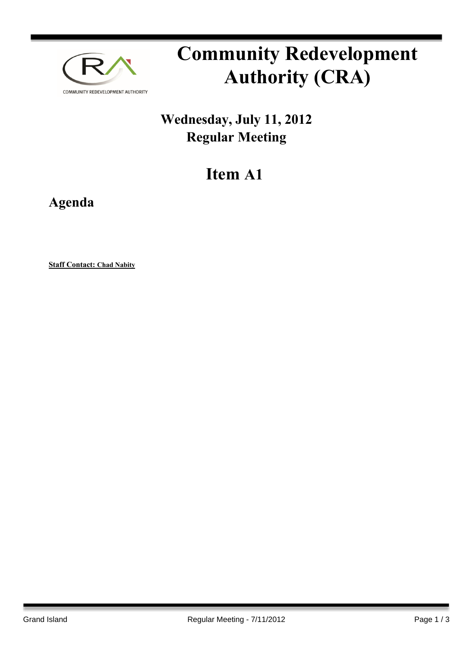

# **Community Redevelopment Authority (CRA)**

## **Wednesday, July 11, 2012 Regular Meeting**

## **Item A1**

**Agenda**

**Staff Contact: Chad Nabity**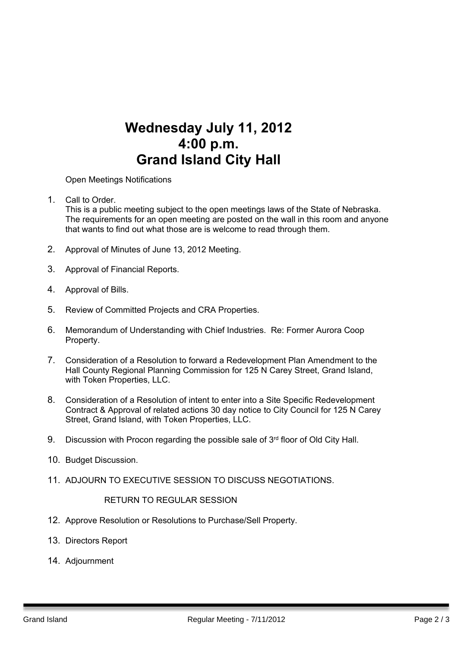### **Wednesday July 11, 2012 4:00 p.m. Grand Island City Hall**

Open Meetings Notifications

1. Call to Order. Barry Sandstrom Call to Order.

This is a public meeting subject to the open meetings laws of the State of Nebraska. The requirements for an open meeting are posted on the wall in this room and anyone that wants to find out what those are is welcome to read through them.

- 2. Approval of Minutes of June 13, 2012 Meeting.
- 3. Approval of Financial Reports.
- 4. Approval of Bills.
- 5. Review of Committed Projects and CRA Properties.
- 6. Memorandum of Understanding with Chief Industries. Re: Former Aurora Coop Property.
- 7. Consideration of a Resolution to forward a Redevelopment Plan Amendment to the Hall County Regional Planning Commission for 125 N Carey Street, Grand Island, with Token Properties, LLC.
- 8. Consideration of a Resolution of intent to enter into a Site Specific Redevelopment Contract & Approval of related actions 30 day notice to City Council for 125 N Carey Street, Grand Island, with Token Properties, LLC.
- 9. Discussion with Procon regarding the possible sale of  $3<sup>rd</sup>$  floor of Old City Hall.
- 10. Budget Discussion.
- 11. ADJOURN TO EXECUTIVE SESSION TO DISCUSS NEGOTIATIONS.

#### RETURN TO REGULAR SESSION

- 12. Approve Resolution or Resolutions to Purchase/Sell Property.
- 13. Directors Report
- 14. Adjournment